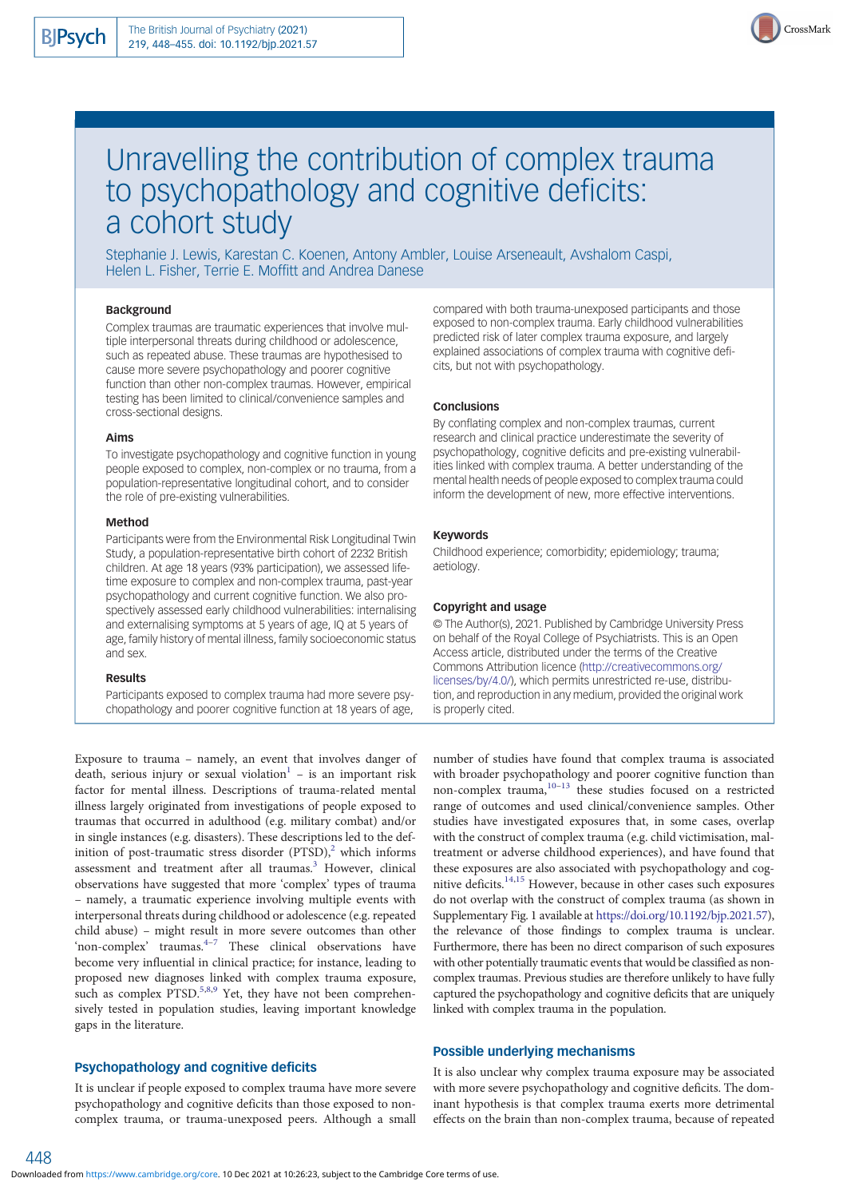

# Unravelling the contribution of complex trauma to psychopathology and cognitive deficits: a cohort study

Stephanie J. Lewis, Karestan C. Koenen, Antony Ambler, Louise Arseneault, Avshalom Caspi, Helen L. Fisher, Terrie E. Moffitt and Andrea Danese

## Background

Complex traumas are traumatic experiences that involve multiple interpersonal threats during childhood or adolescence, such as repeated abuse. These traumas are hypothesised to cause more severe psychopathology and poorer cognitive function than other non-complex traumas. However, empirical testing has been limited to clinical/convenience samples and cross-sectional designs.

#### Aims

To investigate psychopathology and cognitive function in young people exposed to complex, non-complex or no trauma, from a population-representative longitudinal cohort, and to consider the role of pre-existing vulnerabilities.

#### Method

Participants were from the Environmental Risk Longitudinal Twin Study, a population-representative birth cohort of 2232 British children. At age 18 years (93% participation), we assessed lifetime exposure to complex and non-complex trauma, past-year psychopathology and current cognitive function. We also prospectively assessed early childhood vulnerabilities: internalising and externalising symptoms at 5 years of age, IQ at 5 years of age, family history of mental illness, family socioeconomic status and sex.

#### Results

Participants exposed to complex trauma had more severe psychopathology and poorer cognitive function at 18 years of age,

Exposure to trauma – namely, an event that involves danger of death, serious injury or sexual violation<sup>[1](#page-7-0)</sup> – is an important risk factor for mental illness. Descriptions of trauma-related mental illness largely originated from investigations of people exposed to traumas that occurred in adulthood (e.g. military combat) and/or in single instances (e.g. disasters). These descriptions led to the definition of post-traumatic stress disorder  $(PTSD)<sup>2</sup>$  which informs assessment and treatment after all traumas.<sup>[3](#page-7-0)</sup> However, clinical observations have suggested that more 'complex' types of trauma – namely, a traumatic experience involving multiple events with interpersonal threats during childhood or adolescence (e.g. repeated child abuse) – might result in more severe outcomes than other 'non-complex' traumas. $4\frac{4}{7}$  $4\frac{4}{7}$  $4\frac{4}{7}$  $4\frac{4}{7}$  These clinical observations have become very influential in clinical practice; for instance, leading to proposed new diagnoses linked with complex trauma exposure, such as complex  $\text{PTSD.}^{5,8,9}$  $\text{PTSD.}^{5,8,9}$  $\text{PTSD.}^{5,8,9}$  Yet, they have not been comprehensively tested in population studies, leaving important knowledge gaps in the literature.

#### Psychopathology and cognitive deficits

It is unclear if people exposed to complex trauma have more severe psychopathology and cognitive deficits than those exposed to noncomplex trauma, or trauma-unexposed peers. Although a small compared with both trauma-unexposed participants and those exposed to non-complex trauma. Early childhood vulnerabilities predicted risk of later complex trauma exposure, and largely explained associations of complex trauma with cognitive deficits, but not with psychopathology.

#### **Conclusions**

By conflating complex and non-complex traumas, current research and clinical practice underestimate the severity of psychopathology, cognitive deficits and pre-existing vulnerabilities linked with complex trauma. A better understanding of the mental health needs of people exposed to complex trauma could inform the development of new, more effective interventions.

# Keywords

Childhood experience; comorbidity; epidemiology; trauma; aetiology.

#### Copyright and usage

© The Author(s), 2021. Published by Cambridge University Press on behalf of the Royal College of Psychiatrists. This is an Open Access article, distributed under the terms of the Creative Commons Attribution licence [\(http://creativecommons.org/](http://creativecommons.org/licenses/by/4.0/) [licenses/by/4.0/](http://creativecommons.org/licenses/by/4.0/)), which permits unrestricted re-use, distribution, and reproduction in any medium, provided the original work is properly cited.

number of studies have found that complex trauma is associated with broader psychopathology and poorer cognitive function than non-complex trauma, $10-13$  $10-13$  $10-13$  these studies focused on a restricted range of outcomes and used clinical/convenience samples. Other studies have investigated exposures that, in some cases, overlap with the construct of complex trauma (e.g. child victimisation, maltreatment or adverse childhood experiences), and have found that these exposures are also associated with psychopathology and cognitive deficits.[14](#page-7-0),[15](#page-7-0) However, because in other cases such exposures do not overlap with the construct of complex trauma (as shown in Supplementary Fig. 1 available at [https://doi.org/10.1192/bjp.2021.57\)](https://doi.org/10.1192/bjp.2021.57), the relevance of those findings to complex trauma is unclear. Furthermore, there has been no direct comparison of such exposures with other potentially traumatic events that would be classified as noncomplex traumas. Previous studies are therefore unlikely to have fully captured the psychopathology and cognitive deficits that are uniquely linked with complex trauma in the population.

#### Possible underlying mechanisms

It is also unclear why complex trauma exposure may be associated with more severe psychopathology and cognitive deficits. The dominant hypothesis is that complex trauma exerts more detrimental effects on the brain than non-complex trauma, because of repeated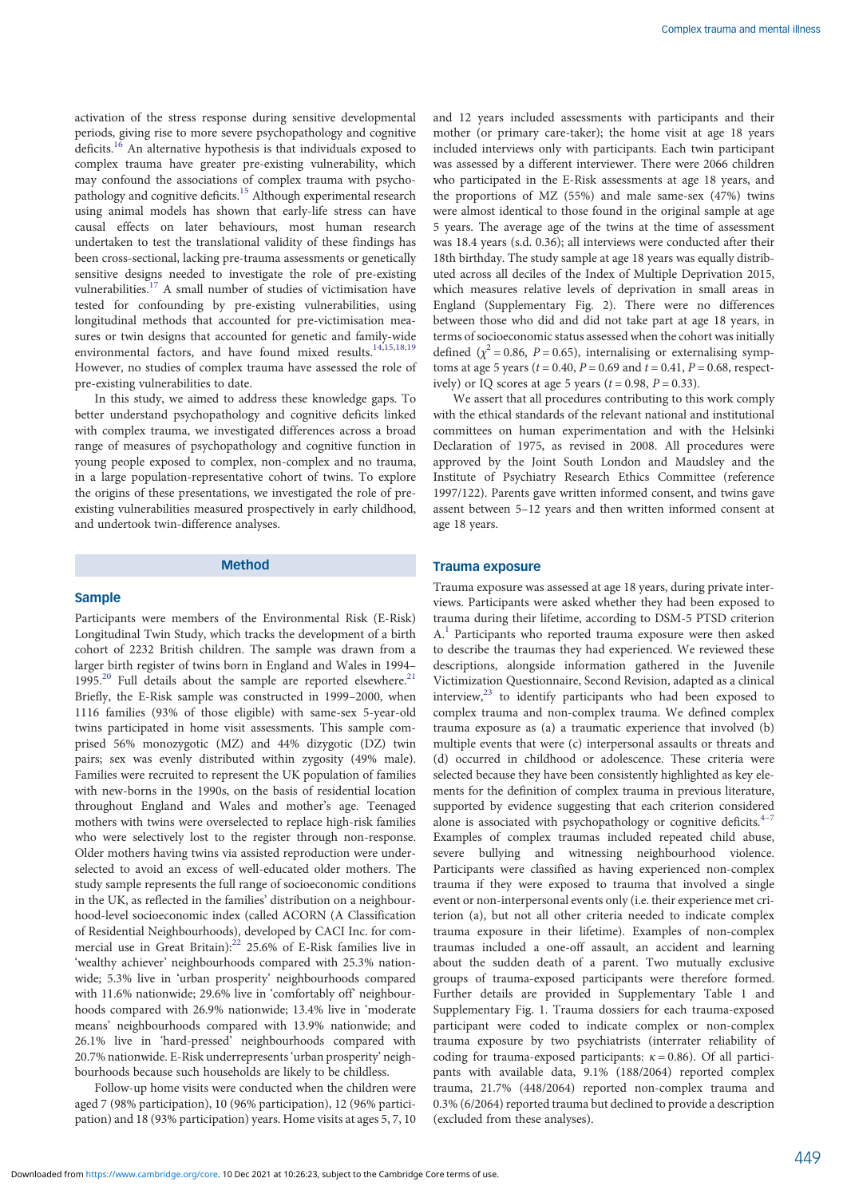activation of the stress response during sensitive developmental periods, giving rise to more severe psychopathology and cognitive deficits.[16](#page-7-0) An alternative hypothesis is that individuals exposed to complex trauma have greater pre-existing vulnerability, which may confound the associations of complex trauma with psycho-pathology and cognitive deficits.<sup>[15](#page-7-0)</sup> Although experimental research using animal models has shown that early-life stress can have causal effects on later behaviours, most human research undertaken to test the translational validity of these findings has been cross-sectional, lacking pre-trauma assessments or genetically sensitive designs needed to investigate the role of pre-existing vulnerabilities.<sup>[17](#page-7-0)</sup> A small number of studies of victimisation have tested for confounding by pre-existing vulnerabilities, using longitudinal methods that accounted for pre-victimisation measures or twin designs that accounted for genetic and family-wide environmental factors, and have found mixed results.<sup>14,15,18,19</sup> However, no studies of complex trauma have assessed the role of pre-existing vulnerabilities to date.

In this study, we aimed to address these knowledge gaps. To better understand psychopathology and cognitive deficits linked with complex trauma, we investigated differences across a broad range of measures of psychopathology and cognitive function in young people exposed to complex, non-complex and no trauma, in a large population-representative cohort of twins. To explore the origins of these presentations, we investigated the role of preexisting vulnerabilities measured prospectively in early childhood, and undertook twin-difference analyses.

#### Method

#### Sample

Participants were members of the Environmental Risk (E-Risk) Longitudinal Twin Study, which tracks the development of a birth cohort of 2232 British children. The sample was drawn from a larger birth register of twins born in England and Wales in 1994– 1995.<sup>[20](#page-7-0)</sup> Full details about the sample are reported elsewhere.<sup>[21](#page-7-0)</sup> Briefly, the E-Risk sample was constructed in 1999–2000, when 1116 families (93% of those eligible) with same-sex 5-year-old twins participated in home visit assessments. This sample comprised 56% monozygotic (MZ) and 44% dizygotic (DZ) twin pairs; sex was evenly distributed within zygosity (49% male). Families were recruited to represent the UK population of families with new-borns in the 1990s, on the basis of residential location throughout England and Wales and mother's age. Teenaged mothers with twins were overselected to replace high-risk families who were selectively lost to the register through non-response. Older mothers having twins via assisted reproduction were underselected to avoid an excess of well-educated older mothers. The study sample represents the full range of socioeconomic conditions in the UK, as reflected in the families' distribution on a neighbourhood-level socioeconomic index (called ACORN (A Classification of Residential Neighbourhoods), developed by CACI Inc. for commercial use in Great Britain):<sup>22</sup> 25.6% of E-Risk families live in 'wealthy achiever' neighbourhoods compared with 25.3% nationwide; 5.3% live in 'urban prosperity' neighbourhoods compared with 11.6% nationwide; 29.6% live in 'comfortably off' neighbourhoods compared with 26.9% nationwide; 13.4% live in 'moderate means' neighbourhoods compared with 13.9% nationwide; and 26.1% live in 'hard-pressed' neighbourhoods compared with 20.7% nationwide. E-Risk underrepresents 'urban prosperity' neighbourhoods because such households are likely to be childless.

Follow-up home visits were conducted when the children were aged 7 (98% participation), 10 (96% participation), 12 (96% participation) and 18 (93% participation) years. Home visits at ages 5, 7, 10 and 12 years included assessments with participants and their mother (or primary care-taker); the home visit at age 18 years included interviews only with participants. Each twin participant was assessed by a different interviewer. There were 2066 children who participated in the E-Risk assessments at age 18 years, and the proportions of MZ (55%) and male same-sex (47%) twins were almost identical to those found in the original sample at age 5 years. The average age of the twins at the time of assessment was 18.4 years (s.d. 0.36); all interviews were conducted after their 18th birthday. The study sample at age 18 years was equally distributed across all deciles of the Index of Multiple Deprivation 2015, which measures relative levels of deprivation in small areas in England (Supplementary Fig. 2). There were no differences between those who did and did not take part at age 18 years, in terms of socioeconomic status assessed when the cohort was initially defined ( $\chi^2$  = 0.86, P = 0.65), internalising or externalising symptoms at age 5 years ( $t = 0.40$ ,  $P = 0.69$  and  $t = 0.41$ ,  $P = 0.68$ , respectively) or IO scores at age 5 years  $(t = 0.98, P = 0.33)$ .

We assert that all procedures contributing to this work comply with the ethical standards of the relevant national and institutional committees on human experimentation and with the Helsinki Declaration of 1975, as revised in 2008. All procedures were approved by the Joint South London and Maudsley and the Institute of Psychiatry Research Ethics Committee (reference 1997/122). Parents gave written informed consent, and twins gave assent between 5–12 years and then written informed consent at age 18 years.

### Trauma exposure

Trauma exposure was assessed at age 18 years, during private interviews. Participants were asked whether they had been exposed to trauma during their lifetime, according to DSM-5 PTSD criterion  $A<sup>1</sup>$  $A<sup>1</sup>$  $A<sup>1</sup>$  Participants who reported trauma exposure were then asked to describe the traumas they had experienced. We reviewed these descriptions, alongside information gathered in the Juvenile Victimization Questionnaire, Second Revision, adapted as a clinical interview, $^{23}$  $^{23}$  $^{23}$  to identify participants who had been exposed to complex trauma and non-complex trauma. We defined complex trauma exposure as (a) a traumatic experience that involved (b) multiple events that were (c) interpersonal assaults or threats and (d) occurred in childhood or adolescence. These criteria were selected because they have been consistently highlighted as key elements for the definition of complex trauma in previous literature, supported by evidence suggesting that each criterion considered alone is associated with psychopathology or cognitive deficits. $4-7$  $4-7$  $4-7$ Examples of complex traumas included repeated child abuse, severe bullying and witnessing neighbourhood violence. Participants were classified as having experienced non-complex trauma if they were exposed to trauma that involved a single event or non-interpersonal events only (i.e. their experience met criterion (a), but not all other criteria needed to indicate complex trauma exposure in their lifetime). Examples of non-complex traumas included a one-off assault, an accident and learning about the sudden death of a parent. Two mutually exclusive groups of trauma-exposed participants were therefore formed. Further details are provided in Supplementary Table 1 and Supplementary Fig. 1. Trauma dossiers for each trauma-exposed participant were coded to indicate complex or non-complex trauma exposure by two psychiatrists (interrater reliability of coding for trauma-exposed participants:  $\kappa = 0.86$ ). Of all participants with available data, 9.1% (188/2064) reported complex trauma, 21.7% (448/2064) reported non-complex trauma and 0.3% (6/2064) reported trauma but declined to provide a description (excluded from these analyses).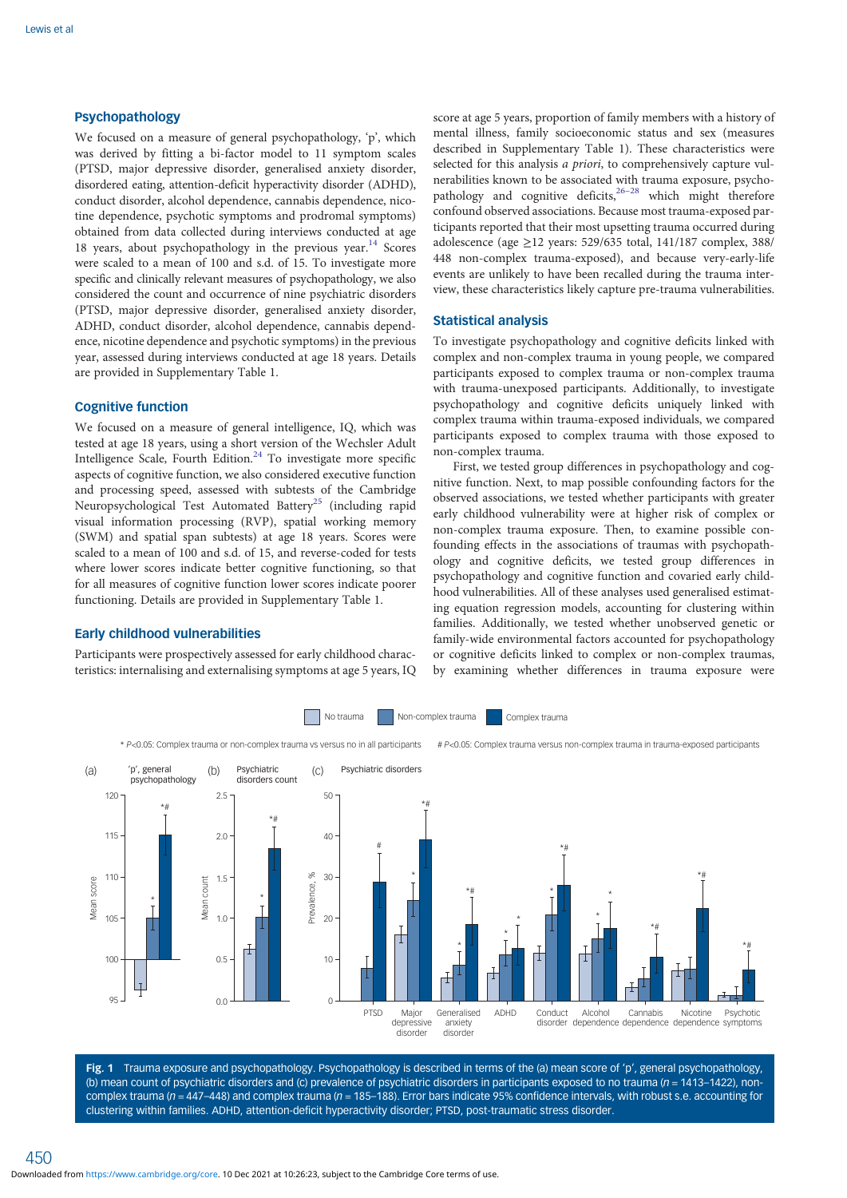# <span id="page-2-0"></span>Psychopathology

We focused on a measure of general psychopathology, 'p', which was derived by fitting a bi-factor model to 11 symptom scales (PTSD, major depressive disorder, generalised anxiety disorder, disordered eating, attention-deficit hyperactivity disorder (ADHD), conduct disorder, alcohol dependence, cannabis dependence, nicotine dependence, psychotic symptoms and prodromal symptoms) obtained from data collected during interviews conducted at age 18 years, about psychopathology in the previous year.<sup>[14](#page-7-0)</sup> Scores were scaled to a mean of 100 and s.d. of 15. To investigate more specific and clinically relevant measures of psychopathology, we also considered the count and occurrence of nine psychiatric disorders (PTSD, major depressive disorder, generalised anxiety disorder, ADHD, conduct disorder, alcohol dependence, cannabis dependence, nicotine dependence and psychotic symptoms) in the previous year, assessed during interviews conducted at age 18 years. Details are provided in Supplementary Table 1.

## Cognitive function

We focused on a measure of general intelligence, IQ, which was tested at age 18 years, using a short version of the Wechsler Adult Intelligence Scale, Fourth Edition.<sup>[24](#page-7-0)</sup> To investigate more specific aspects of cognitive function, we also considered executive function and processing speed, assessed with subtests of the Cambridge Neuropsychological Test Automated Battery<sup>25</sup> (including rapid visual information processing (RVP), spatial working memory (SWM) and spatial span subtests) at age 18 years. Scores were scaled to a mean of 100 and s.d. of 15, and reverse-coded for tests where lower scores indicate better cognitive functioning, so that for all measures of cognitive function lower scores indicate poorer functioning. Details are provided in Supplementary Table 1.

## Early childhood vulnerabilities

Participants were prospectively assessed for early childhood characteristics: internalising and externalising symptoms at age 5 years, IQ score at age 5 years, proportion of family members with a history of mental illness, family socioeconomic status and sex (measures described in Supplementary Table 1). These characteristics were selected for this analysis a priori, to comprehensively capture vulnerabilities known to be associated with trauma exposure, psychopathology and cognitive deficits, $26-28$  $26-28$  $26-28$  which might therefore confound observed associations. Because most trauma-exposed participants reported that their most upsetting trauma occurred during adolescence (age  $\geq$ 12 years: 529/635 total, 141/187 complex, 388/ 448 non-complex trauma-exposed), and because very-early-life events are unlikely to have been recalled during the trauma interview, these characteristics likely capture pre-trauma vulnerabilities.

## Statistical analysis

To investigate psychopathology and cognitive deficits linked with complex and non-complex trauma in young people, we compared participants exposed to complex trauma or non-complex trauma with trauma-unexposed participants. Additionally, to investigate psychopathology and cognitive deficits uniquely linked with complex trauma within trauma-exposed individuals, we compared participants exposed to complex trauma with those exposed to non-complex trauma.

First, we tested group differences in psychopathology and cognitive function. Next, to map possible confounding factors for the observed associations, we tested whether participants with greater early childhood vulnerability were at higher risk of complex or non-complex trauma exposure. Then, to examine possible confounding effects in the associations of traumas with psychopathology and cognitive deficits, we tested group differences in psychopathology and cognitive function and covaried early childhood vulnerabilities. All of these analyses used generalised estimating equation regression models, accounting for clustering within families. Additionally, we tested whether unobserved genetic or family-wide environmental factors accounted for psychopathology or cognitive deficits linked to complex or non-complex traumas, by examining whether differences in trauma exposure were



Fig. 1 Trauma exposure and psychopathology. Psychopathology is described in terms of the (a) mean score of 'p', general psychopathology, (b) mean count of psychiatric disorders and (c) prevalence of psychiatric disorders in participants exposed to no trauma ( $n = 1413-1422$ ), noncomplex trauma ( $n = 447-448$ ) and complex trauma ( $n = 185-188$ ). Error bars indicate 95% confidence intervals, with robust s.e. accounting for clustering within families. ADHD, attention-deficit hyperactivity disorder; PTSD, post-traumatic stress disorder.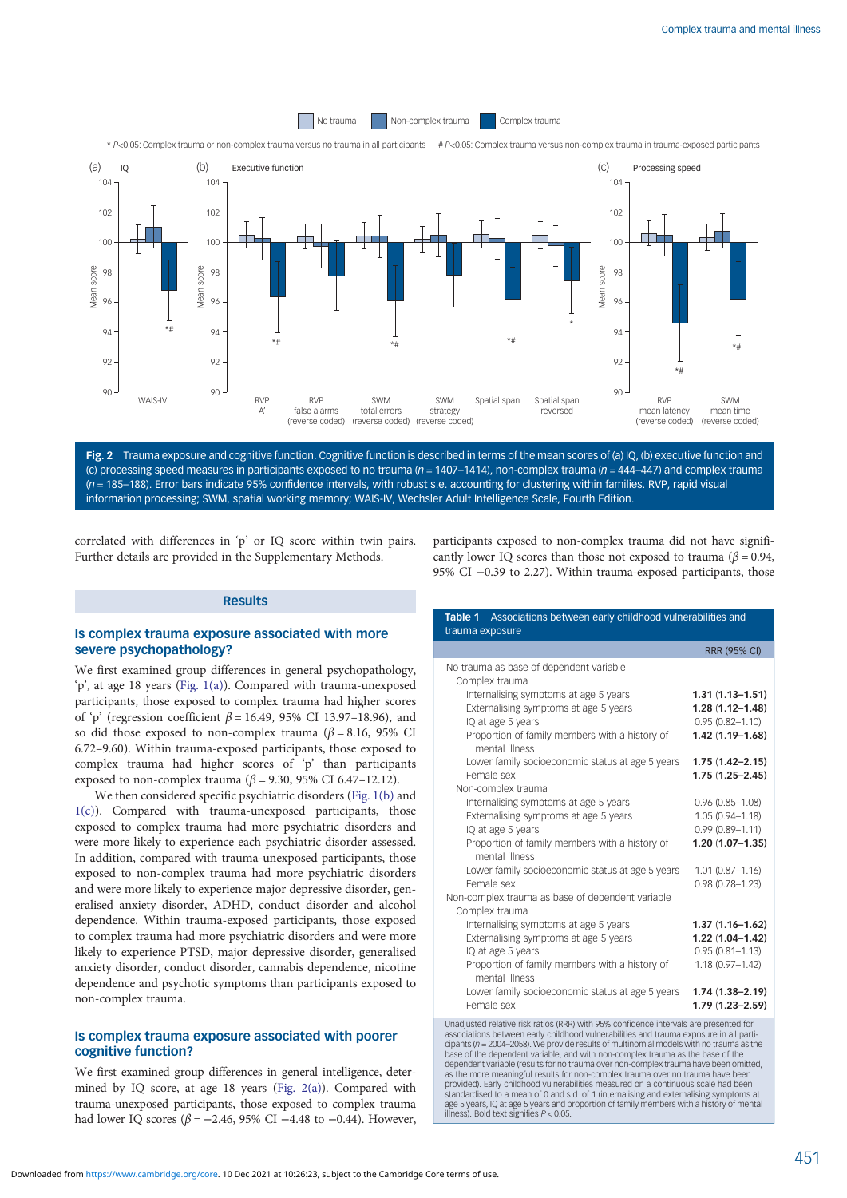<span id="page-3-0"></span>

Fig. 2 Trauma exposure and cognitive function. Cognitive function is described in terms of the mean scores of (a) IQ, (b) executive function and (c) processing speed measures in participants exposed to no trauma ( $n = 1407-1414$ ), non-complex trauma ( $n = 444-447$ ) and complex trauma  $(n = 185-188)$ . Error bars indicate 95% confidence intervals, with robust s.e. accounting for clustering within families. RVP, rapid visual information processing; SWM, spatial working memory; WAIS-IV, Wechsler Adult Intelligence Scale, Fourth Edition.

correlated with differences in 'p' or IQ score within twin pairs. Further details are provided in the Supplementary Methods.

# Results

#### Is complex trauma exposure associated with more severe psychopathology?

We first examined group differences in general psychopathology, 'p', at age 18 years ([Fig. 1\(a\)](#page-2-0)). Compared with trauma-unexposed participants, those exposed to complex trauma had higher scores of 'p' (regression coefficient  $\beta$  = 16.49, 95% CI 13.97–18.96), and so did those exposed to non-complex trauma ( $\beta$  = 8.16, 95% CI 6.72–9.60). Within trauma-exposed participants, those exposed to complex trauma had higher scores of 'p' than participants exposed to non-complex trauma ( $β = 9.30$ , 95% CI 6.47-12.12).

We then considered specific psychiatric disorders [\(Fig. 1\(b\)](#page-2-0) and  $1(c)$ ). Compared with trauma-unexposed participants, those exposed to complex trauma had more psychiatric disorders and were more likely to experience each psychiatric disorder assessed. In addition, compared with trauma-unexposed participants, those exposed to non-complex trauma had more psychiatric disorders and were more likely to experience major depressive disorder, generalised anxiety disorder, ADHD, conduct disorder and alcohol dependence. Within trauma-exposed participants, those exposed to complex trauma had more psychiatric disorders and were more likely to experience PTSD, major depressive disorder, generalised anxiety disorder, conduct disorder, cannabis dependence, nicotine dependence and psychotic symptoms than participants exposed to non-complex trauma.

### Is complex trauma exposure associated with poorer cognitive function?

We first examined group differences in general intelligence, determined by IQ score, at age 18 years (Fig. 2(a)). Compared with trauma-unexposed participants, those exposed to complex trauma had lower IQ scores ( $β = -2.46$ , 95% CI −4.48 to −0.44). However,

participants exposed to non-complex trauma did not have significantly lower IQ scores than those not exposed to trauma ( $\beta$  = 0.94, 95% CI −0.39 to 2.27). Within trauma-exposed participants, those

| Table 1 Associations between early childhood vulnerabilities and<br>trauma exposure    |                                            |
|----------------------------------------------------------------------------------------|--------------------------------------------|
|                                                                                        | <b>RRR (95% CI)</b>                        |
| No trauma as base of dependent variable<br>Complex trauma                              |                                            |
| Internalising symptoms at age 5 years                                                  | $1.31(1.13 - 1.51)$                        |
| Externalising symptoms at age 5 years<br>IQ at age 5 years                             | $1.28(1.12 - 1.48)$<br>$0.95(0.82 - 1.10)$ |
| Proportion of family members with a history of<br>mental illness                       | $1.42(1.19 - 1.68)$                        |
| Lower family socioeconomic status at age 5 years<br>Female sex                         | $1.75(1.42 - 2.15)$<br>$1.75(1.25 - 2.45)$ |
| Non-complex trauma                                                                     |                                            |
| Internalising symptoms at age 5 years                                                  | $0.96(0.85 - 1.08)$                        |
| Externalising symptoms at age 5 years<br>IQ at age 5 years                             | $1.05(0.94 - 1.18)$<br>$0.99(0.89 - 1.11)$ |
| Proportion of family members with a history of<br>mental illness                       | $1.20(1.07 - 1.35)$                        |
| Lower family socioeconomic status at age 5 years<br>Female sex                         | $1.01(0.87 - 1.16)$<br>$0.98(0.78 - 1.23)$ |
| Non-complex trauma as base of dependent variable<br>Complex trauma                     |                                            |
| Internalising symptoms at age 5 years                                                  | $1.37(1.16 - 1.62)$                        |
| Externalising symptoms at age 5 years                                                  | $1.22(1.04 - 1.42)$                        |
| IQ at age 5 years                                                                      | $0.95(0.81 - 1.13)$                        |
| Proportion of family members with a history of<br>mental illness                       | $1.18(0.97 - 1.42)$                        |
| Lower family socioeconomic status at age 5 years<br>Female sex                         | $1.74(1.38 - 2.19)$<br>$1.79(1.23 - 2.59)$ |
| Unodiusted relative rick ratios (DDD) with OEM, confidence intensals are presented for |                                            |

Unadjusted relative risk ratios (RRR) with 95% confidence intervals are presented for associations between early childhood vulnerabilities and trauma exposure in all participants (n = 2004–2058). We provide results of multinomial models with no trauma as the base of the dependent variable, and with non-complex trauma as the base of the dependent variable (results for no trauma over non-complex trauma have been omitted, as the more meaningful results for non-complex trauma over no trauma have been provided). Early childhood vulnerabilities measured on a continuous scale had been standardised to a mean of 0 and s.d. of 1 (internalising and externalising symptoms at age 5 years, IQ at age 5 years and proportion of family members with a history of mental illness). Bold text signifies P < 0.05.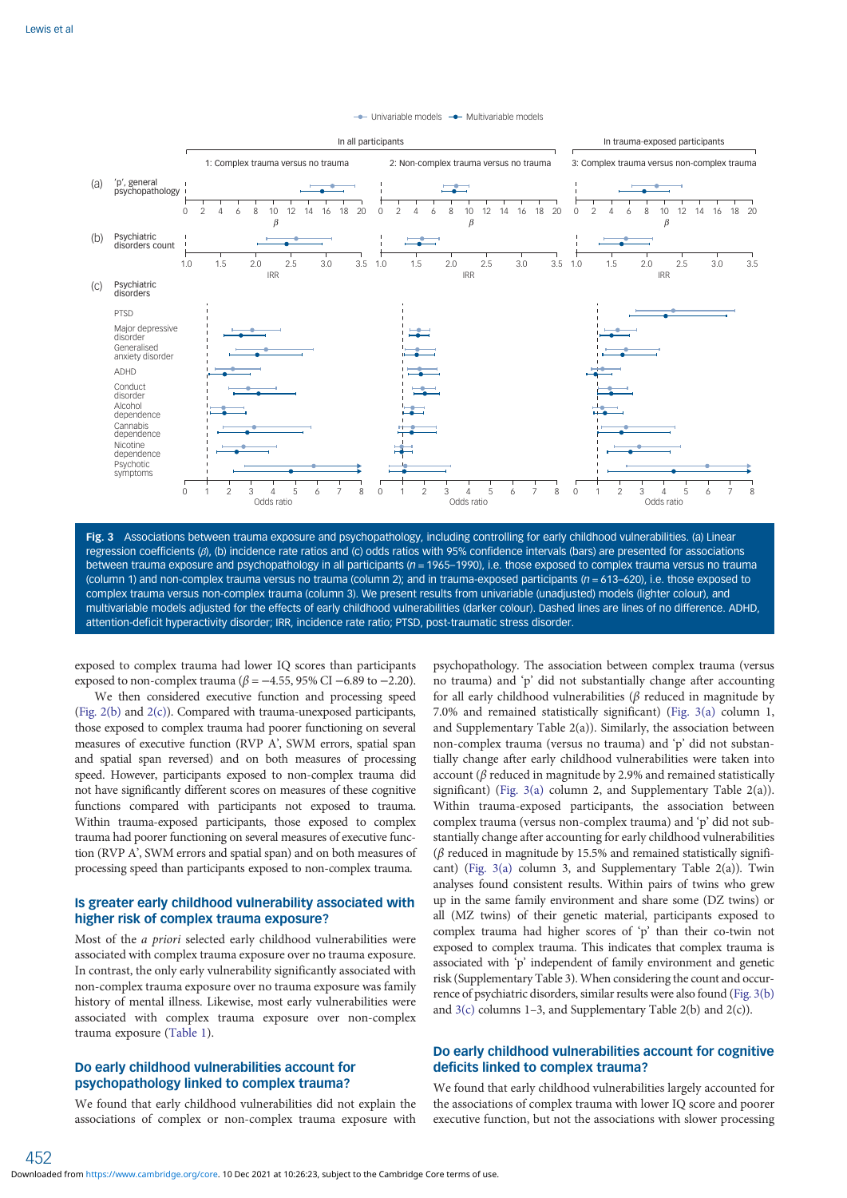

#### $\rightarrow$  Univariable models  $\rightarrow$  Multivariable models

Fig. 3 Associations between trauma exposure and psychopathology, including controlling for early childhood vulnerabilities. (a) Linear regression coefficients (β), (b) incidence rate ratios and (c) odds ratios with 95% confidence intervals (bars) are presented for associations between trauma exposure and psychopathology in all participants (n = 1965–1990), i.e. those exposed to complex trauma versus no trauma (column 1) and non-complex trauma versus no trauma (column 2); and in trauma-exposed participants ( $n = 613-620$ ), i.e. those exposed to complex trauma versus non-complex trauma (column 3). We present results from univariable (unadjusted) models (lighter colour), and multivariable models adjusted for the effects of early childhood vulnerabilities (darker colour). Dashed lines are lines of no difference. ADHD, attention-deficit hyperactivity disorder; IRR, incidence rate ratio; PTSD, post-traumatic stress disorder.

exposed to complex trauma had lower IQ scores than participants exposed to non-complex trauma ( $\beta$  = −4.55, 95% CI −6.89 to −2.20).

We then considered executive function and processing speed [\(Fig. 2\(b\)](#page-3-0) and [2\(c\)](#page-3-0)). Compared with trauma-unexposed participants, those exposed to complex trauma had poorer functioning on several measures of executive function (RVP A', SWM errors, spatial span and spatial span reversed) and on both measures of processing speed. However, participants exposed to non-complex trauma did not have significantly different scores on measures of these cognitive functions compared with participants not exposed to trauma. Within trauma-exposed participants, those exposed to complex trauma had poorer functioning on several measures of executive function (RVP A', SWM errors and spatial span) and on both measures of processing speed than participants exposed to non-complex trauma.

# Is greater early childhood vulnerability associated with higher risk of complex trauma exposure?

Most of the a priori selected early childhood vulnerabilities were associated with complex trauma exposure over no trauma exposure. In contrast, the only early vulnerability significantly associated with non-complex trauma exposure over no trauma exposure was family history of mental illness. Likewise, most early vulnerabilities were associated with complex trauma exposure over non-complex trauma exposure ([Table 1](#page-3-0)).

# Do early childhood vulnerabilities account for psychopathology linked to complex trauma?

452

We found that early childhood vulnerabilities did not explain the associations of complex or non-complex trauma exposure with

psychopathology. The association between complex trauma (versus no trauma) and 'p' did not substantially change after accounting for all early childhood vulnerabilities ( $\beta$  reduced in magnitude by 7.0% and remained statistically significant) (Fig. 3(a) column 1, and Supplementary Table 2(a)). Similarly, the association between non-complex trauma (versus no trauma) and 'p' did not substantially change after early childhood vulnerabilities were taken into account ( $\beta$  reduced in magnitude by 2.9% and remained statistically significant) (Fig.  $3(a)$  column 2, and Supplementary Table 2(a)). Within trauma-exposed participants, the association between complex trauma (versus non-complex trauma) and 'p' did not substantially change after accounting for early childhood vulnerabilities (β reduced in magnitude by 15.5% and remained statistically significant) (Fig. 3(a) column 3, and Supplementary Table 2(a)). Twin analyses found consistent results. Within pairs of twins who grew up in the same family environment and share some (DZ twins) or all (MZ twins) of their genetic material, participants exposed to complex trauma had higher scores of 'p' than their co-twin not exposed to complex trauma. This indicates that complex trauma is associated with 'p' independent of family environment and genetic risk (Supplementary Table 3). When considering the count and occurrence of psychiatric disorders, similar results were also found (Fig. 3(b) and  $3(c)$  columns 1–3, and Supplementary Table 2(b) and 2(c)).

# Do early childhood vulnerabilities account for cognitive deficits linked to complex trauma?

We found that early childhood vulnerabilities largely accounted for the associations of complex trauma with lower IQ score and poorer executive function, but not the associations with slower processing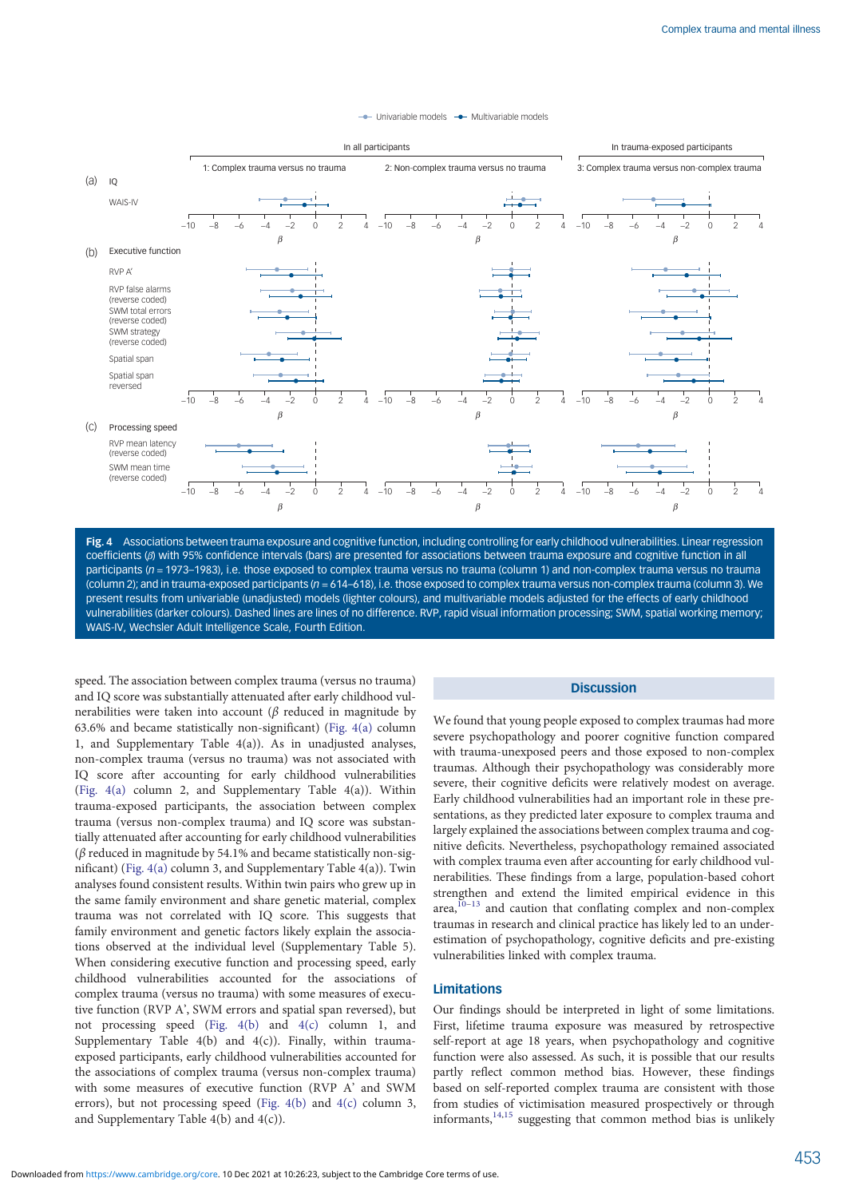#### - Univariable models - Multivariable models



Fig. 4 Associations between trauma exposure and cognitive function, including controlling for early childhood vulnerabilities. Linear regression coefficients (β) with 95% confidence intervals (bars) are presented for associations between trauma exposure and cognitive function in all participants (n = 1973–1983), i.e. those exposed to complex trauma versus no trauma (column 1) and non-complex trauma versus no trauma (column 2); and in trauma-exposed participants (n = 614–618), i.e. those exposed to complex trauma versus non-complex trauma (column 3). We present results from univariable (unadjusted) models (lighter colours), and multivariable models adjusted for the effects of early childhood vulnerabilities (darker colours). Dashed lines are lines of no difference. RVP, rapid visual information processing; SWM, spatial working memory; WAIS-IV, Wechsler Adult Intelligence Scale, Fourth Edition.

speed. The association between complex trauma (versus no trauma) and IQ score was substantially attenuated after early childhood vulnerabilities were taken into account ( $\beta$  reduced in magnitude by 63.6% and became statistically non-significant) (Fig. 4(a) column 1, and Supplementary Table 4(a)). As in unadjusted analyses, non-complex trauma (versus no trauma) was not associated with IQ score after accounting for early childhood vulnerabilities (Fig. 4(a) column 2, and Supplementary Table 4(a)). Within trauma-exposed participants, the association between complex trauma (versus non-complex trauma) and IQ score was substantially attenuated after accounting for early childhood vulnerabilities ( $\beta$  reduced in magnitude by 54.1% and became statistically non-significant) (Fig. 4(a) column 3, and Supplementary Table 4(a)). Twin analyses found consistent results. Within twin pairs who grew up in the same family environment and share genetic material, complex trauma was not correlated with IQ score. This suggests that family environment and genetic factors likely explain the associations observed at the individual level (Supplementary Table 5). When considering executive function and processing speed, early childhood vulnerabilities accounted for the associations of complex trauma (versus no trauma) with some measures of executive function (RVP A', SWM errors and spatial span reversed), but not processing speed (Fig. 4(b) and 4(c) column 1, and Supplementary Table  $4(b)$  and  $4(c)$ ). Finally, within traumaexposed participants, early childhood vulnerabilities accounted for the associations of complex trauma (versus non-complex trauma) with some measures of executive function (RVP A' and SWM errors), but not processing speed (Fig. 4(b) and 4(c) column 3, and Supplementary Table  $4(b)$  and  $4(c)$ ).

#### **Discussion**

We found that young people exposed to complex traumas had more severe psychopathology and poorer cognitive function compared with trauma-unexposed peers and those exposed to non-complex traumas. Although their psychopathology was considerably more severe, their cognitive deficits were relatively modest on average. Early childhood vulnerabilities had an important role in these presentations, as they predicted later exposure to complex trauma and largely explained the associations between complex trauma and cognitive deficits. Nevertheless, psychopathology remained associated with complex trauma even after accounting for early childhood vulnerabilities. These findings from a large, population-based cohort strengthen and extend the limited empirical evidence in this area, $10-13$  $10-13$  and caution that conflating complex and non-complex traumas in research and clinical practice has likely led to an underestimation of psychopathology, cognitive deficits and pre-existing vulnerabilities linked with complex trauma.

## Limitations

Our findings should be interpreted in light of some limitations. First, lifetime trauma exposure was measured by retrospective self-report at age 18 years, when psychopathology and cognitive function were also assessed. As such, it is possible that our results partly reflect common method bias. However, these findings based on self-reported complex trauma are consistent with those from studies of victimisation measured prospectively or through informants, $14,15$  suggesting that common method bias is unlikely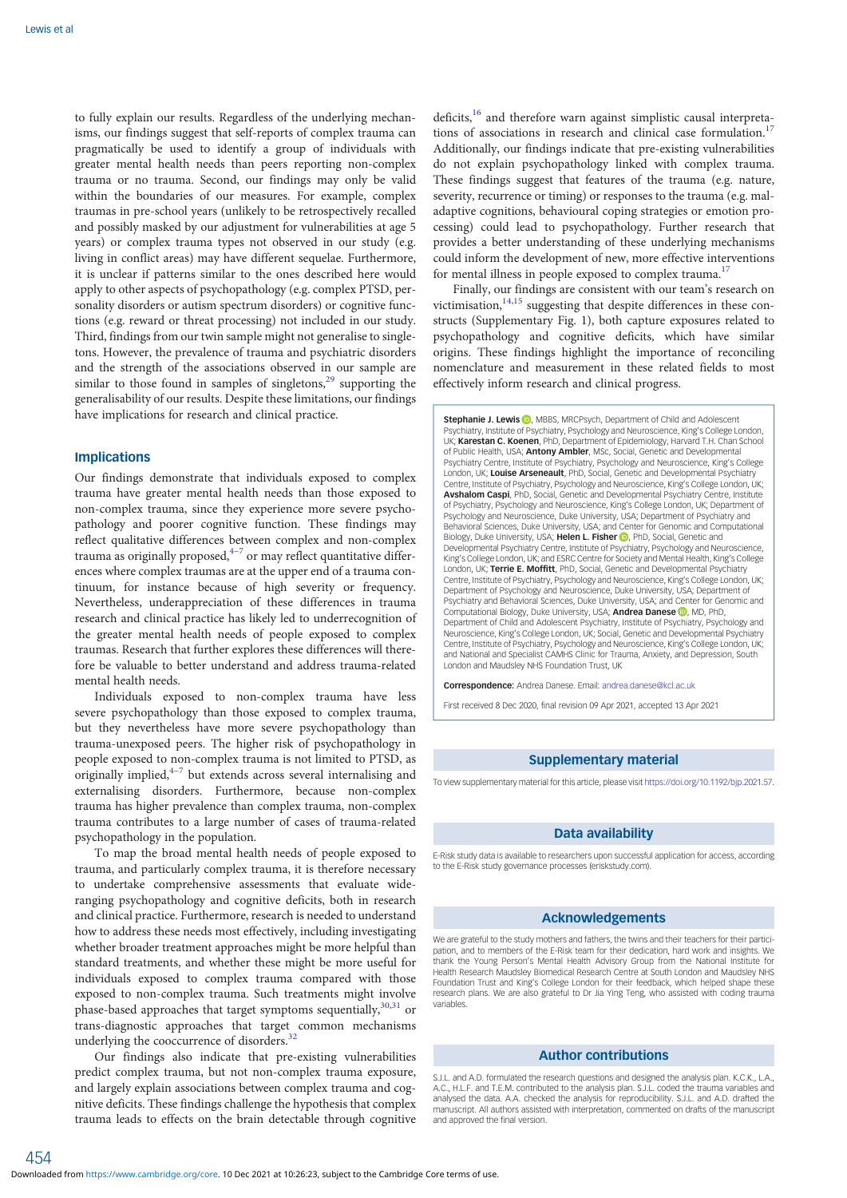to fully explain our results. Regardless of the underlying mechanisms, our findings suggest that self-reports of complex trauma can pragmatically be used to identify a group of individuals with greater mental health needs than peers reporting non-complex trauma or no trauma. Second, our findings may only be valid within the boundaries of our measures. For example, complex traumas in pre-school years (unlikely to be retrospectively recalled and possibly masked by our adjustment for vulnerabilities at age 5 years) or complex trauma types not observed in our study (e.g. living in conflict areas) may have different sequelae. Furthermore, it is unclear if patterns similar to the ones described here would apply to other aspects of psychopathology (e.g. complex PTSD, personality disorders or autism spectrum disorders) or cognitive functions (e.g. reward or threat processing) not included in our study. Third, findings from our twin sample might not generalise to singletons. However, the prevalence of trauma and psychiatric disorders and the strength of the associations observed in our sample are similar to those found in samples of singletons,<sup>[29](#page-7-0)</sup> supporting the generalisability of our results. Despite these limitations, our findings have implications for research and clinical practice.

#### Implications

454

Our findings demonstrate that individuals exposed to complex trauma have greater mental health needs than those exposed to non-complex trauma, since they experience more severe psychopathology and poorer cognitive function. These findings may reflect qualitative differences between complex and non-complex trauma as originally proposed, $4-7$  $4-7$  $4-7$  or may reflect quantitative differences where complex traumas are at the upper end of a trauma continuum, for instance because of high severity or frequency. Nevertheless, underappreciation of these differences in trauma research and clinical practice has likely led to underrecognition of the greater mental health needs of people exposed to complex traumas. Research that further explores these differences will therefore be valuable to better understand and address trauma-related mental health needs.

Individuals exposed to non-complex trauma have less severe psychopathology than those exposed to complex trauma, but they nevertheless have more severe psychopathology than trauma-unexposed peers. The higher risk of psychopathology in people exposed to non-complex trauma is not limited to PTSD, as originally implied, $4\frac{4}{7}$  $4\frac{4}{7}$  $4\frac{4}{7}$  $4\frac{4}{7}$  but extends across several internalising and externalising disorders. Furthermore, because non-complex trauma has higher prevalence than complex trauma, non-complex trauma contributes to a large number of cases of trauma-related psychopathology in the population.

To map the broad mental health needs of people exposed to trauma, and particularly complex trauma, it is therefore necessary to undertake comprehensive assessments that evaluate wideranging psychopathology and cognitive deficits, both in research and clinical practice. Furthermore, research is needed to understand how to address these needs most effectively, including investigating whether broader treatment approaches might be more helpful than standard treatments, and whether these might be more useful for individuals exposed to complex trauma compared with those exposed to non-complex trauma. Such treatments might involve phase-based approaches that target symptoms sequentially,  $30,31$  or trans-diagnostic approaches that target common mechanisms underlying the cooccurrence of disorders.<sup>3</sup>

Our findings also indicate that pre-existing vulnerabilities predict complex trauma, but not non-complex trauma exposure, and largely explain associations between complex trauma and cognitive deficits. These findings challenge the hypothesis that complex trauma leads to effects on the brain detectable through cognitive deficits,<sup>[16](#page-7-0)</sup> and therefore warn against simplistic causal interpretations of associations in research and clinical case formulation.<sup>17</sup> Additionally, our findings indicate that pre-existing vulnerabilities do not explain psychopathology linked with complex trauma. These findings suggest that features of the trauma (e.g. nature, severity, recurrence or timing) or responses to the trauma (e.g. maladaptive cognitions, behavioural coping strategies or emotion processing) could lead to psychopathology. Further research that provides a better understanding of these underlying mechanisms could inform the development of new, more effective interventions for mental illness in people exposed to complex trauma.<sup>17</sup>

Finally, our findings are consistent with our team's research on victimisation, $14,15$  $14,15$  $14,15$  suggesting that despite differences in these constructs (Supplementary Fig. 1), both capture exposures related to psychopathology and cognitive deficits, which have similar origins. These findings highlight the importance of reconciling nomenclature and measurement in these related fields to most effectively inform research and clinical progress.

Stephanie J. Lewis (D), MBBS, MRCPsych, Department of Child and Adolescent Psychiatry, Institute of Psychiatry, Psychology and Neuroscience, King's College London, UK; Karestan C. Koenen, PhD, Department of Epidemiology, Harvard T.H. Chan School of Public Health, USA; **Antony Ambler**, MSc, Social, Genetic and Developmental Psychiatry Centre, Institute of Psychiatry, Psychology and Neuroscience, King's College London, UK; **Louise Arseneault**, PhD, Social, Genetic and Developmental Psychiatry<br>Centre, Institute of Psychiatry, Psychology and Neuroscience, King's College London, UK<sub>:</sub> **Avshalom Caspi, PhD, Social, Genetic and Developmental Psychiatry Centre, Institute** of Psychiatry, Psychology and Neuroscience, King's College London, UK; Department of Psychology and Neuroscience, Duke University, USA; Department of Psychiatry and Behavioral Sciences, Duke University, USA; and Center for Genomic and Computational Biology[,](https://orcid.org/0000-0003-4174-2126) Duke University, USA; Helen L. Fisher D, PhD, Social, Genetic and Developmental Psychiatry Centre, Institute of Psychiatry, Psychology and Neuroscience, King's College London, UK; and ESRC Centre for Society and Mental Health, King's College London, UK; Terrie E. Moffitt, PhD, Social, Genetic and Developmental Psychiatry Centre, Institute of Psychiatry, Psychology and Neuroscience, King's College London, UK; Department of Psychology and Neuroscience, Duke University, USA; Department of Psychiatry and Behavioral Sciences, Duke University, USA; and Center for Genomic and Computational Biology, Duke University, USA; Andrea Danese D, MD, PhD, Department of Child and Adolescent Psychiatry, Institute of Psychiatry, Psychology and Neuroscience, King's College London, UK; Social, Genetic and Developmental Psychiatry Centre, Institute of Psychiatry, Psychology and Neuroscience, King's College London, UK; and National and Specialist CAMHS Clinic for Trauma, Anxiety, and Depression, South London and Maudsley NHS Foundation Trust, UK

Correspondence: Andrea Danese. Email: [andrea.danese@kcl.ac.uk](mailto:andrea.danese@kcl.ac.uk)

First received 8 Dec 2020, final revision 09 Apr 2021, accepted 13 Apr 2021

#### Supplementary material

To view supplementary material for this article, please visit <https://doi.org/10.1192/bjp.2021.57>.

#### Data availability

E-Risk study data is available to researchers upon successful application for access, according to the E-Risk study governance processes (eriskstudy.com).

### Acknowledgements

We are grateful to the study mothers and fathers, the twins and their teachers for their participation, and to members of the E-Risk team for their dedication, hard work and insights. We thank the Young Person's Mental Health Advisory Group from the National Institute for Health Research Maudsley Biomedical Research Centre at South London and Maudsley NHS Foundation Trust and King's College London for their feedback, which helped shape these research plans. We are also grateful to Dr Jia Ying Teng, who assisted with coding trauma variables.

## Author contributions

S.J.L. and A.D. formulated the research questions and designed the analysis plan. K.C.K., L.A. A.C., H.L.F. and T.E.M. contributed to the analysis plan. S.J.L. coded the trauma variables and analysed the data. A.A. checked the analysis for reproducibility. S.J.L. and A.D. drafted the manuscript. All authors assisted with interpretation, commented on drafts of the manuscript and approved the final version.